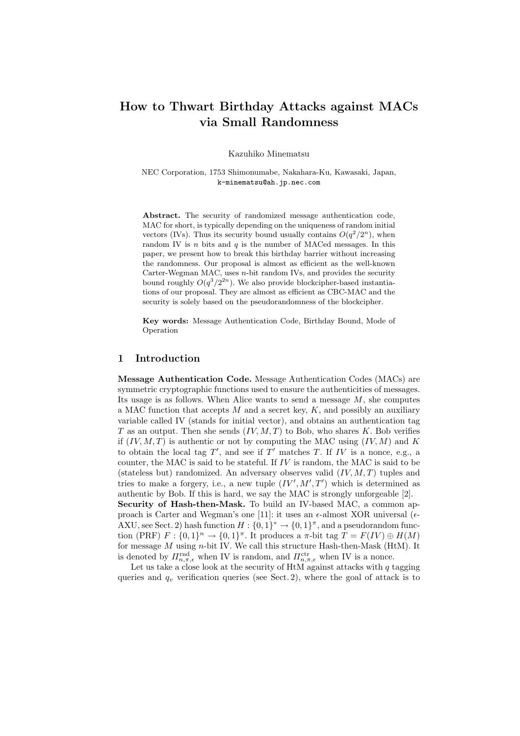# **How to Thwart Birthday Attacks against MACs via Small Randomness**

Kazuhiko Minematsu

NEC Corporation, 1753 Shimonumabe, Nakahara-Ku, Kawasaki, Japan, k-minematsu@ah.jp.nec.com

**Abstract.** The security of randomized message authentication code, MAC for short, is typically depending on the uniqueness of random initial vectors (IVs). Thus its security bound usually contains  $O(q^2/2^n)$ , when random IV is *n* bits and *q* is the number of MACed messages. In this paper, we present how to break this birthday barrier without increasing the randomness. Our proposal is almost as efficient as the well-known Carter-Wegman MAC, uses *n*-bit random IVs, and provides the security bound roughly  $O(q^3/2^{2n})$ . We also provide blockcipher-based instantiations of our proposal. They are almost as efficient as CBC-MAC and the security is solely based on the pseudorandomness of the blockcipher.

**Key words:** Message Authentication Code, Birthday Bound, Mode of Operation

## **1 Introduction**

**Message Authentication Code.** Message Authentication Codes (MACs) are symmetric cryptographic functions used to ensure the authenticities of messages. Its usage is as follows. When Alice wants to send a message *M*, she computes a MAC function that accepts *M* and a secret key, *K*, and possibly an auxiliary variable called IV (stands for initial vector), and obtains an authentication tag *T* as an output. Then she sends (*IV, M, T*) to Bob, who shares *K*. Bob verifies if  $(IV, M, T)$  is authentic or not by computing the MAC using  $(IV, M)$  and  $K$ to obtain the local tag *T ′* , and see if *T ′* matches *T*. If *IV* is a nonce, e.g., a counter, the MAC is said to be stateful. If *IV* is random, the MAC is said to be (stateless but) randomized. An adversary observes valid (*IV, M, T*) tuples and tries to make a forgery, i.e., a new tuple  $(IV', M', T')$  which is determined as authentic by Bob. If this is hard, we say the MAC is strongly unforgeable [2]. **Security of Hash-then-Mask.** To build an IV-based MAC, a common approach is Carter and Wegman's one [11]: it uses an *ϵ*-almost XOR universal (*ϵ*-AXU, see Sect. 2) hash function  $H: \{0,1\}^* \to \{0,1\}^{\pi}$ , and a pseudorandom function (PRF)  $F: \{0,1\}^n \to \{0,1\}^{\pi}$ . It produces a  $\pi$ -bit tag  $T = F(IV) \oplus H(M)$ for message *M* using *n*-bit IV. We call this structure Hash-then-Mask (HtM). It is denoted by  $\prod_{n,\pi,\epsilon}^{\text{rnd}}$  when IV is random, and  $\prod_{n,\pi,\epsilon}^{\text{ctr}}$  when IV is a nonce.

Let us take a close look at the security of HtM against attacks with *q* tagging queries and  $q_v$  verification queries (see Sect. 2), where the goal of attack is to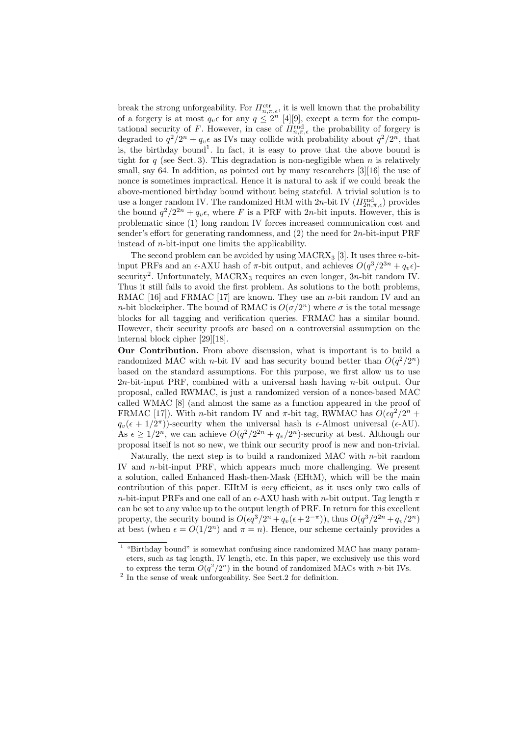break the strong unforgeability. For  $\Pi_{n,\pi,\epsilon}^{\text{ctr}}$ , it is well known that the probability of a forgery is at most  $q_v \epsilon$  for any  $q \leq 2^n$  [4][9], except a term for the computational security of *F*. However, in case of  $\Pi_{n,\pi,\epsilon}^{\text{rnd}}$  the probability of forgery is degraded to  $q^2/2^n + q_v\epsilon$  as IVs may collide with probability about  $q^2/2^n$ , that is, the birthday bound<sup>1</sup>. In fact, it is easy to prove that the above bound is tight for  $q$  (see Sect. 3). This degradation is non-negligible when  $n$  is relatively small, say 64. In addition, as pointed out by many researchers [3][16] the use of nonce is sometimes impractical. Hence it is natural to ask if we could break the above-mentioned birthday bound without being stateful. A trivial solution is to use a longer random IV. The randomized HtM with  $2n$ -bit IV  $(\Pi_{2n,\pi,\epsilon}^{\text{rnd}})$  provides the bound  $q^2/2^{2n} + q_v\epsilon$ , where *F* is a PRF with 2*n*-bit inputs. However, this is problematic since (1) long random IV forces increased communication cost and sender's effort for generating randomness, and (2) the need for 2*n*-bit-input PRF instead of *n*-bit-input one limits the applicability.

The second problem can be avoided by using  $MACRX<sub>3</sub>$  [3]. It uses three *n*-bitinput PRFs and an  $\epsilon$ -AXU hash of  $\pi$ -bit output, and achieves  $O(q^3/2^{3n} + q_v \epsilon)$ security<sup>2</sup>. Unfortunately, MACRX<sub>3</sub> requires an even longer, 3*n*-bit random IV. Thus it still fails to avoid the first problem. As solutions to the both problems, RMAC [16] and FRMAC [17] are known. They use an *n*-bit random IV and an *n*-bit blockcipher. The bound of RMAC is  $O(\sigma/2^n)$  where  $\sigma$  is the total message blocks for all tagging and verification queries. FRMAC has a similar bound. However, their security proofs are based on a controversial assumption on the internal block cipher [29][18].

**Our Contribution.** From above discussion, what is important is to build a randomized MAC with *n*-bit IV and has security bound better than  $O(q^2/2^n)$ based on the standard assumptions. For this purpose, we first allow us to use 2*n*-bit-input PRF, combined with a universal hash having *n*-bit output. Our proposal, called RWMAC, is just a randomized version of a nonce-based MAC called WMAC [8] (and almost the same as a function appeared in the proof of FRMAC [17]). With *n*-bit random IV and  $\pi$ -bit tag, RWMAC has  $O(\epsilon q^2/2^n +$  $q_v(\epsilon + 1/2^{\pi})$ -security when the universal hash is  $\epsilon$ -Almost universal ( $\epsilon$ -AU). As  $\epsilon \geq 1/2^n$ , we can achieve  $O(q^2/2^{2n} + q_v/2^n)$ -security at best. Although our proposal itself is not so new, we think our security proof is new and non-trivial.

Naturally, the next step is to build a randomized MAC with *n*-bit random IV and *n*-bit-input PRF, which appears much more challenging. We present a solution, called Enhanced Hash-then-Mask (EHtM), which will be the main contribution of this paper. EHtM is *very* efficient, as it uses only two calls of *n*-bit-input PRFs and one call of an *ϵ*-AXU hash with *n*-bit output. Tag length *π* can be set to any value up to the output length of PRF. In return for this excellent property, the security bound is  $O(\epsilon q^3/2^n + q_v(\epsilon + 2^{-\pi}))$ , thus  $O(q^3/2^{2n} + q_v/2^n)$ at best (when  $\epsilon = O(1/2^n)$  and  $\pi = n$ ). Hence, our scheme certainly provides a

<sup>&</sup>lt;sup>1</sup> "Birthday bound" is somewhat confusing since randomized MAC has many parameters, such as tag length, IV length, etc. In this paper, we exclusively use this word to express the term  $O(q^2/2^n)$  in the bound of randomized MACs with *n*-bit IVs.

<sup>&</sup>lt;sup>2</sup> In the sense of weak unforgeability. See Sect.2 for definition.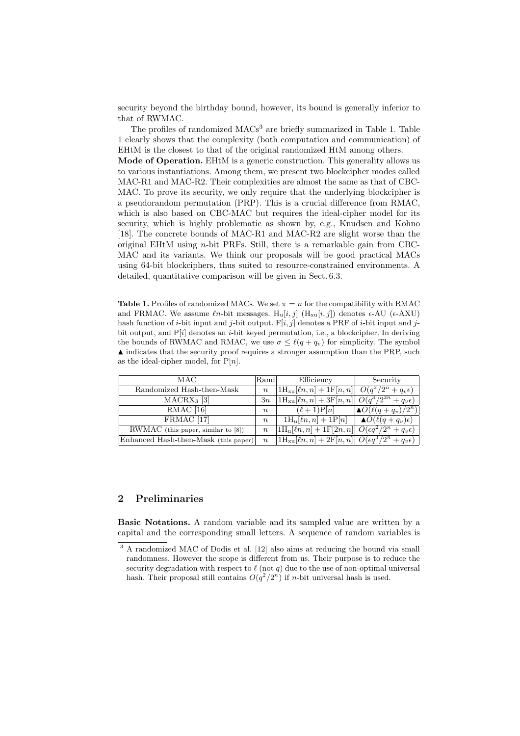security beyond the birthday bound, however, its bound is generally inferior to that of RWMAC.

The profiles of randomized MACs<sup>3</sup> are briefly summarized in Table 1. Table 1 clearly shows that the complexity (both computation and communication) of EHtM is the closest to that of the original randomized HtM among others.

**Mode of Operation.** EHtM is a generic construction. This generality allows us to various instantiations. Among them, we present two blockcipher modes called MAC-R1 and MAC-R2. Their complexities are almost the same as that of CBC-MAC. To prove its security, we only require that the underlying blockcipher is a pseudorandom permutation (PRP). This is a crucial difference from RMAC, which is also based on CBC-MAC but requires the ideal-cipher model for its security, which is highly problematic as shown by, e.g., Knudsen and Kohno [18]. The concrete bounds of MAC-R1 and MAC-R2 are slight worse than the original EHtM using *n*-bit PRFs. Still, there is a remarkable gain from CBC-MAC and its variants. We think our proposals will be good practical MACs using 64-bit blockciphers, thus suited to resource-constrained environments. A detailed, quantitative comparison will be given in Sect. 6.3.

**Table 1.** Profiles of randomized MACs. We set  $\pi = n$  for the compatibility with RMAC and FRMAC. We assume  $ln$ -bit messages. H<sub>u</sub>[*i, j*] (H<sub>xu</sub>[*i, j*]) denotes  $\epsilon$ -AU ( $\epsilon$ -AXU) hash function of *i*-bit input and *j*-bit output.  $F[i, j]$  denotes a PRF of *i*-bit input and *j*bit output, and P[*i*] denotes an *i*-bit keyed permutation, i.e., a blockcipher. In deriving the bounds of RWMAC and RMAC, we use  $\sigma \leq \ell(q+q_v)$  for simplicity. The symbol  $\blacktriangle$  indicates that the security proof requires a stronger assumption than the PRP, such as the ideal-cipher model, for P[*n*].

| MAC                                   | Rand             | Efficiency                                                                                | Security                                         |
|---------------------------------------|------------------|-------------------------------------------------------------------------------------------|--------------------------------------------------|
| Randomized Hash-then-Mask             | $\boldsymbol{n}$ | $ 1H_{\text{xu}}[\ln, n] + 1F[n, n]  O(q^2/2^n + q_v \epsilon)$                           |                                                  |
| $MACRX3$ [3]                          | 3n               | $\left 1H_{\text{xu}}[\ln,n]+3F[n,n]\right O(q^3/2^{3n}+q_v\epsilon)$                     |                                                  |
| $RMAC$ [16]                           | $n_{\rm c}$      | $(\ell+1)P[n]$                                                                            | $\left \blacktriangle O(\ell(q+q_v)/2^n)\right $ |
| FRMAC <sup>[17]</sup>                 | $\boldsymbol{n}$ | $1H_u[\ell n, n] + 1P[n]$ $\Delta O(\ell(q + q_v)\epsilon)$                               |                                                  |
| RWMAC (this paper, similar to $[8]$ ) | $\boldsymbol{n}$ | $\left \text{1H}_{u}[ln, n] + \text{1F}[2n, n]\right  O(\epsilon q^2/2^n + q_v \epsilon)$ |                                                  |
| Enhanced Hash-then-Mask (this paper)  | $\boldsymbol{n}$ | $\left 1H_{\text{xu}}[\ln,n]+2F[n,n]\right O(\epsilon q^3/2^n+q_v\epsilon)$               |                                                  |

# **2 Preliminaries**

**Basic Notations.** A random variable and its sampled value are written by a capital and the corresponding small letters. A sequence of random variables is

<sup>3</sup> A randomized MAC of Dodis et al. [12] also aims at reducing the bound via small randomness. However the scope is different from us. Their purpose is to reduce the security degradation with respect to  $\ell$  (not  $q$ ) due to the use of non-optimal universal hash. Their proposal still contains  $O(q^2/2^n)$  if *n*-bit universal hash is used.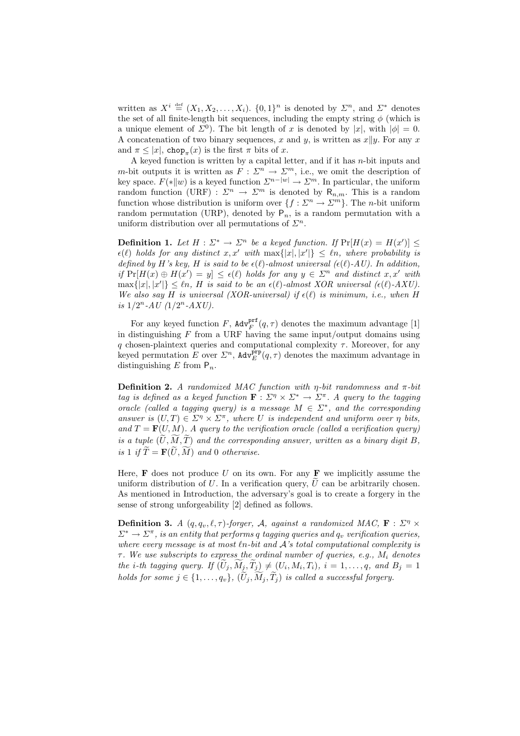written as  $X^i \stackrel{\text{def}}{=} (X_1, X_2, \ldots, X_i)$ .  $\{0, 1\}^n$  is denoted by  $\Sigma^n$ , and  $\Sigma^*$  denotes the set of all finite-length bit sequences, including the empty string  $\phi$  (which is a unique element of  $\Sigma^0$ ). The bit length of *x* is denoted by  $|x|$ , with  $|\phi| = 0$ . A concatenation of two binary sequences, *x* and *y*, is written as *x∥y*. For any *x* and  $\pi \leq |x|$ , chop<sub> $\pi$ </sub> $(x)$  is the first  $\pi$  bits of  $x$ .

A keyed function is written by a capital letter, and if it has *n*-bit inputs and *m*-bit outputs it is written as  $F: \Sigma^n \to \Sigma^m$ , i.e., we omit the description of key space.  $F(*|w)$  is a keyed function  $\Sigma^{n-|w|} \to \Sigma^m$ . In particular, the uniform random function (URF) :  $\Sigma^n \to \Sigma^m$  is denoted by  $\mathsf{R}_{n,m}$ . This is a random function whose distribution is uniform over  $\{f : \Sigma^n \to \Sigma^m\}$ . The *n*-bit uniform random permutation (URP), denoted by  $P_n$ , is a random permutation with a uniform distribution over all permutations of *Σ<sup>n</sup>*.

**Definition 1.** Let  $H : \Sigma^* \to \Sigma^n$  be a keyed function. If  $\Pr[H(x) = H(x')] \le$  $\epsilon(\ell)$  *holds for any distinct*  $x, x'$  *with*  $\max\{|x|, |x'|\} \leq \ell n$ , where probability is *defined by H*'s key, *H is said to be*  $\epsilon(\ell)$ *-almost universal*  $(\epsilon(\ell)$ *-AU*). In addition,  $if$   $Pr[H(x) \oplus H(x') = y] \leq \epsilon(\ell)$  *holds for any*  $y \in \Sigma^n$  *and distinct*  $x, x'$  *with*  $\max\{|x|, |x'|\} \leq \ell n$ , *H* is said to be an  $\epsilon(\ell)$ -almost XOR universal ( $\epsilon(\ell)$ -AXU). *We also say H is universal (XOR-universal) if*  $\epsilon(\ell)$  *is minimum, i.e., when H*  $i s \frac{1}{2^n} - AU \left( \frac{1}{2^n} - AXU \right)$ .

For any keyed function  $F$ ,  $\text{Adv}_{F}^{\text{prf}}(q, \tau)$  denotes the maximum advantage [1] in distinguishing *F* from a URF having the same input/output domains using *q* chosen-plaintext queries and computational complexity  $\tau$ . Moreover, for any keyed permutation  $E$  over  $\mathcal{L}^n$ ,  $\text{Adv}_{E}^{\text{prp}}(q, \tau)$  denotes the maximum advantage in distinguishing *E* from P*n*.

**Definition 2.** *A randomized MAC function with η*-*bit randomness and*  $π$ -*bit tag is defined as a keyed function*  $\mathbf{F}: \Sigma^n \times \Sigma^* \to \Sigma^{\pi}$ . A query to the tagging *oracle (called a tagging query) is a message*  $M \in \Sigma^*$ , and the corresponding *answer is*  $(U, T) \in \Sigma^n \times \Sigma^n$ , where *U is independent and uniform over η bits, and*  $T = \mathbf{F}(U, M)$ *. A query to the verification oracle (called a verification query) is a tuple*  $(\tilde{U}, \tilde{M}, \tilde{T})$  *and the corresponding answer, written as a binary digit*  $B$ *, is* 1 *if*  $\widetilde{T} = \mathbf{F}(\widetilde{U}, \widetilde{M})$  *and* 0 *otherwise.* 

Here, **F** does not produce  $U$  on its own. For any **F** we implicitly assume the uniform distribution of U. In a verification query,  $\tilde{U}$  can be arbitrarily chosen. As mentioned in Introduction, the adversary's goal is to create a forgery in the sense of strong unforgeability [2] defined as follows.

**Definition 3.** *A*  $(q, q_v, \ell, \tau)$ *-forger, A, against a randomized MAC,* **F** :  $\Sigma^{\eta} \times$ *Σ<sup>∗</sup> → Σ<sup>π</sup> , is an entity that performs q tagging queries and q<sup>v</sup> verification queries, where every message is at most*  $ln$ *-bit and*  $A$ 's total computational complexity is *τ . We use subscripts to express the ordinal number of queries, e.g., M<sup>i</sup> denotes* the *i*-th tagging query. If  $(U_j, M_j, T_j) \neq (U_i, M_i, T_i)$ ,  $i = 1, ..., q$ , and  $B_j = 1$ *holds for some*  $j \in \{1, \ldots, q_v\}$ ,  $(\widetilde{U}_i, \widetilde{M}_i, \widetilde{T}_j)$  *is called a successful forgery.*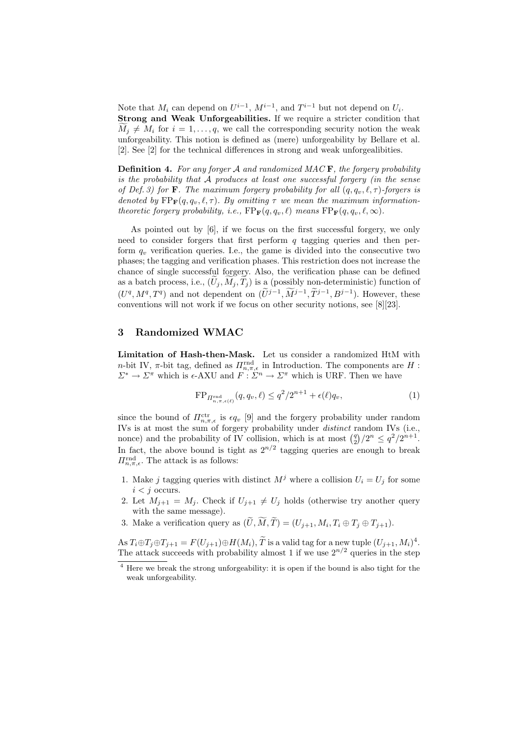Note that  $M_i$  can depend on  $U^{i-1}$ ,  $M^{i-1}$ , and  $T^{i-1}$  but not depend on  $U_i$ . **Strong and Weak Unforgeabilities.** If we require a stricter condition that  $\widetilde{M}_i \neq M_i$  for  $i = 1, \ldots, q$ , we call the corresponding security notion the weak unforgeability. This notion is defined as (mere) unforgeability by Bellare et al. [2]. See [2] for the technical differences in strong and weak unforgealibities.

**Definition 4.** *For any forger A and randomized MAC* **F***, the forgery probability is the probability that A produces at least one successful forgery (in the sense of Def. 3) for* **F***. The maximum forgery probability for all*  $(q, q_v, \ell, \tau)$ *-forgers is denoted by*  $\text{FP}_F(q, q_v, \ell, \tau)$ *. By omitting*  $\tau$  *we mean the maximum informationtheoretic forgery probability, i.e.,*  $\text{FP}_F(q, q_v, \ell)$  *means*  $\text{FP}_F(q, q_v, \ell, \infty)$ *.* 

As pointed out by [6], if we focus on the first successful forgery, we only need to consider forgers that first perform *q* tagging queries and then perform  $q_v$  verification queries. I.e., the game is divided into the consecutive two phases; the tagging and verification phases. This restriction does not increase the chance of single successful forgery. Also, the verification phase can be defined as a batch process, i.e.,  $(\tilde{U}_j, \tilde{M}_j, \tilde{T}_j)$  is a (possibly non-deterministic) function of  $(U^q, M^q, T^q)$  and not dependent on  $(\tilde{U}^{j-1}, \tilde{M}^{j-1}, \tilde{T}^{j-1}, B^{j-1})$ . However, these conventions will not work if we focus on other security notions, see [8][23].

## **3 Randomized WMAC**

**Limitation of Hash-then-Mask.** Let us consider a randomized HtM with *n*-bit IV, *π*-bit tag, defined as  $\Pi_{n,\pi,\epsilon}^{\text{rnd}}$  in Introduction. The components are  $H$ :  $\Sigma^* \to \Sigma^{\pi}$  which is  $\epsilon$ -AXU and  $F: \Sigma^n \to \Sigma^{\pi}$  which is URF. Then we have

$$
\text{FP}_{\Pi_{n,\pi,\epsilon(\ell)}^{\text{rnd}}} (q, q_v, \ell) \leq q^2/2^{n+1} + \epsilon(\ell)q_v,\tag{1}
$$

since the bound of  $\Pi_{n,\pi,\epsilon}^{\text{ctr}}$  is  $\epsilon q_v$  [9] and the forgery probability under random IVs is at most the sum of forgery probability under *distinct* random IVs (i.e., nonce) and the probability of IV collision, which is at most  $\binom{q}{2}/2^n \leq q^2/2^{n+1}$ . In fact, the above bound is tight as  $2^{n/2}$  tagging queries are enough to break  $\Pi_{n,\pi,\epsilon}^{\text{rnd}}$ . The attack is as follows:

- 1. Make *j* tagging queries with distinct  $M<sup>j</sup>$  where a collision  $U<sub>i</sub> = U<sub>j</sub>$  for some  $i < j$  occurs.
- 2. Let  $M_{j+1} = M_j$ . Check if  $U_{j+1} \neq U_j$  holds (otherwise try another query with the same message).
- 3. Make a verification query as  $(U, M, T) = (U_{j+1}, M_i, T_i \oplus T_j \oplus T_{j+1}).$

 $\operatorname{As} T_i \oplus T_j \oplus T_{j+1} = F(U_{j+1}) \oplus H(M_i), T$  is a valid tag for a new tuple  $(U_{j+1}, M_i)^4$ . The attack succeeds with probability almost 1 if we use  $2^{n/2}$  queries in the step

<sup>4</sup> Here we break the strong unforgeability: it is open if the bound is also tight for the weak unforgeability.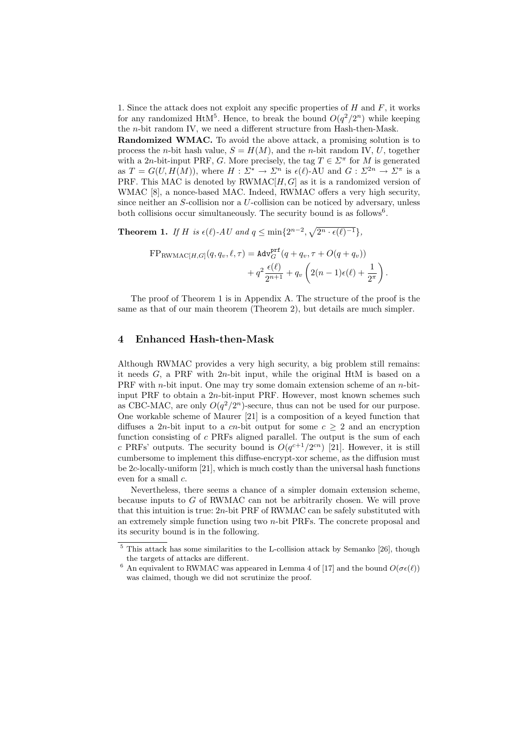1. Since the attack does not exploit any specific properties of *H* and *F*, it works for any randomized HtM<sup>5</sup>. Hence, to break the bound  $O(q^2/2^n)$  while keeping the *n*-bit random IV, we need a different structure from Hash-then-Mask.

**Randomized WMAC.** To avoid the above attack, a promising solution is to process the *n*-bit hash value,  $S = H(M)$ , and the *n*-bit random IV, *U*, together with a 2*n*-bit-input PRF, *G*. More precisely, the tag  $T \in \Sigma^{\pi}$  for *M* is generated as  $T = G(U, H(M))$ , where  $H : \Sigma^* \to \Sigma^n$  is  $\epsilon(\ell)$ -AU and  $G : \Sigma^{2n} \to \Sigma^{\pi}$  is a PRF. This MAC is denoted by RWMAC[H, G] as it is a randomized version of WMAC [8], a nonce-based MAC. Indeed, RWMAC offers a very high security, since neither an *S*-collision nor a *U*-collision can be noticed by adversary, unless both collisions occur simultaneously. The security bound is as follows<sup>6</sup>.

**Theorem 1.** *If H is*  $\epsilon(\ell)$ -*AU* and  $q \leq \min\{2^{n-2}, \sqrt{2^n \cdot \epsilon(\ell)^{-1}}\}$ ,

$$
\begin{aligned} \text{FP}_{\text{RWMAC}[H,G]}(q, q_v, \ell, \tau) &= \text{Adv}_{G}^{\text{prf}}(q + q_v, \tau + O(q + q_v)) \\ &+ q^2 \frac{\epsilon(\ell)}{2^{n+1}} + q_v \left( 2(n-1)\epsilon(\ell) + \frac{1}{2^{\pi}} \right). \end{aligned}
$$

The proof of Theorem 1 is in Appendix A. The structure of the proof is the same as that of our main theorem (Theorem 2), but details are much simpler.

## **4 Enhanced Hash-then-Mask**

Although RWMAC provides a very high security, a big problem still remains: it needs *G*, a PRF with 2*n*-bit input, while the original HtM is based on a PRF with *n*-bit input. One may try some domain extension scheme of an *n*-bitinput PRF to obtain a 2*n*-bit-input PRF. However, most known schemes such as CBC-MAC, are only  $O(q^2/2^n)$ -secure, thus can not be used for our purpose. One workable scheme of Maurer [21] is a composition of a keyed function that diffuses a 2*n*-bit input to a *cn*-bit output for some  $c > 2$  and an encryption function consisting of *c* PRFs aligned parallel. The output is the sum of each *c* PRFs' outputs. The security bound is  $O(q^{c+1}/2^{cn})$  [21]. However, it is still cumbersome to implement this diffuse-encrypt-xor scheme, as the diffusion must be 2*c*-locally-uniform [21], which is much costly than the universal hash functions even for a small *c*.

Nevertheless, there seems a chance of a simpler domain extension scheme, because inputs to *G* of RWMAC can not be arbitrarily chosen. We will prove that this intuition is true: 2*n*-bit PRF of RWMAC can be safely substituted with an extremely simple function using two *n*-bit PRFs. The concrete proposal and its security bound is in the following.

 $^5$  This attack has some similarities to the L-collision attack by Semanko [26], though the targets of attacks are different.

<sup>&</sup>lt;sup>6</sup> An equivalent to RWMAC was appeared in Lemma 4 of [17] and the bound  $O(\sigma\epsilon(\ell))$ was claimed, though we did not scrutinize the proof.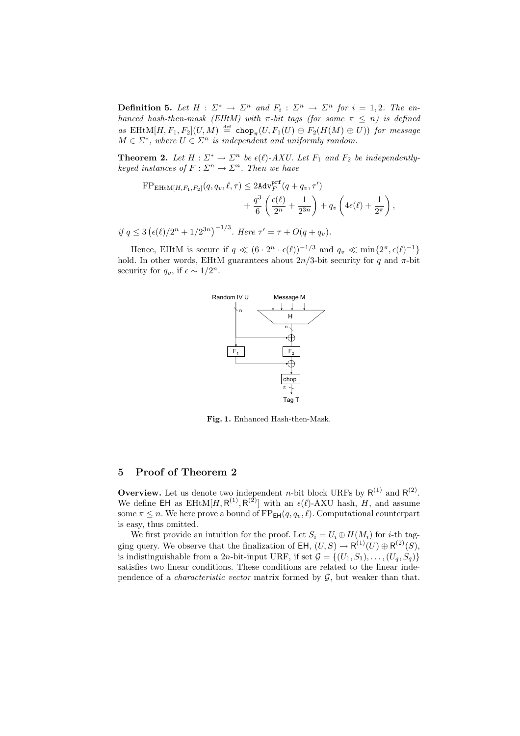**Definition 5.** Let  $H : \Sigma^* \to \Sigma^n$  and  $F_i : \Sigma^n \to \Sigma^n$  for  $i = 1, 2$ . The en*hanced hash-then-mask (EHtM) with*  $\pi$ -bit tags (for some  $\pi \leq n$ ) is defined  $as \text{ EHtM}[H, F_1, F_2](U, M) \stackrel{\text{def}}{=} \text{chop}_{\pi}(U, F_1(U) \oplus F_2(H(M) \oplus U))$  *for message*  $M \in \mathbb{Z}^*$ , where  $U \in \mathbb{Z}^n$  *is independent and uniformly random.* 

**Theorem 2.** Let  $H: \Sigma^* \to \Sigma^n$  be  $\epsilon(\ell)$ -AXU. Let  $F_1$  and  $F_2$  be independently*keyed instances of*  $F: \Sigma^n \to \Sigma^n$ *. Then we have* 

$$
\begin{aligned} \text{FP}_{\text{EHtM}[H,F_1,F_2]}(q,q_v,\ell,\tau) &\leq 2\text{Adv}_{F}^{\text{prf}}(q+q_v,\tau') \\ &+ \frac{q^3}{6}\left(\frac{\epsilon(\ell)}{2^n} + \frac{1}{2^{3n}}\right) + q_v\left(4\epsilon(\ell) + \frac{1}{2^{\pi}}\right), \end{aligned}
$$

 $if q \leq 3 \left( \frac{\epsilon(\ell)}{2^n} + \frac{1}{2^{3n}} \right)^{-1/3}$ *. Here*  $\tau' = \tau + O(q + q_v)$ *.* 

Hence, EHtM is secure if  $q \ll (6 \cdot 2^n \cdot \epsilon(\ell))^{-1/3}$  and  $q_v \ll \min\{2^n, \epsilon(\ell)^{-1}\}\$ hold. In other words, EHtM guarantees about 2*n/*3-bit security for *q* and *π*-bit security for  $q_v$ , if  $\epsilon \sim 1/2^n$ .



**Fig. 1.** Enhanced Hash-then-Mask.

## **5 Proof of Theorem 2**

**Overview.** Let us denote two independent *n*-bit block URFs by  $R^{(1)}$  and  $R^{(2)}$ . We define  $EH$  as  $EHtM[H, R^{(1)}, R^{(2)}]$  with an  $\epsilon(\ell)$ -AXU hash, *H*, and assume some  $\pi \leq n$ . We here prove a bound of  $\text{FP}_{\text{EH}}(q, q_v, \ell)$ . Computational counterpart is easy, thus omitted.

We first provide an intuition for the proof. Let  $S_i = U_i \oplus H(M_i)$  for *i*-th tagging query. We observe that the finalization of  $\text{EH}, (U, S) \to \text{R}^{(1)}(U) \oplus \text{R}^{(2)}(S)$ , is indistinguishable from a 2*n*-bit-input URF, if set  $\mathcal{G} = \{(U_1, S_1), \ldots, (U_q, S_q)\}$ satisfies two linear conditions. These conditions are related to the linear independence of a *characteristic vector* matrix formed by *G*, but weaker than that.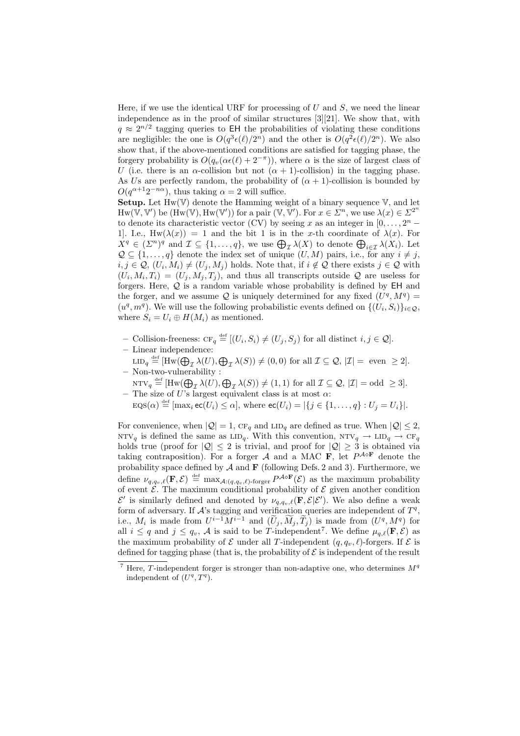Here, if we use the identical URF for processing of *U* and *S*, we need the linear independence as in the proof of similar structures [3][21]. We show that, with  $q \approx 2^{n/2}$  tagging queries to EH the probabilities of violating these conditions are negligible: the one is  $O(q^3 \epsilon(\ell)/2^n)$  and the other is  $O(q^2 \epsilon(\ell)/2^n)$ . We also show that, if the above-mentioned conditions are satisfied for tagging phase, the forgery probability is  $O(q_v(\alpha \epsilon(\ell) + 2^{-\pi}))$ , where  $\alpha$  is the size of largest class of *U* (i.e. there is an  $\alpha$ -collision but not  $(\alpha + 1)$ -collision) in the tagging phase. As *Us* are perfectly random, the probability of  $(\alpha + 1)$ -collision is bounded by  $O(q^{\alpha+1}2^{-n\alpha})$ , thus taking  $\alpha = 2$  will suffice.

**Setup.** Let  $Hw(V)$  denote the Hamming weight of a binary sequence  $V$ , and let  $\text{Hw}(\overline{\mathbb{V}}, \mathbb{V}')$  be  $(\text{Hw}(\mathbb{V}), \text{Hw}(\mathbb{V}'))$  for a pair  $(\mathbb{V}, \overline{\mathbb{V}}')$ . For  $x \in \mathbb{Z}^n$ , we use  $\lambda(x) \in \mathbb{Z}^{2^n}$ to denote its characteristic vector (CV) by seeing *x* as an integer in  $[0, \ldots, 2<sup>n</sup>$  *−* 1. I.e.,  $\text{Hw}(\lambda(x)) = 1$  and the bit 1 is in the *x*-th coordinate of  $\lambda(x)$ . For  $X^q \in (\Sigma^n)^q$  and  $\mathcal{I} \subseteq \{1, \ldots, q\}$ , we use  $\bigoplus_{\mathcal{I}} \lambda(X)$  to denote  $\bigoplus_{i \in \mathcal{I}} \lambda(X_i)$ . Let  $Q \subseteq \{1, \ldots, q\}$  denote the index set of unique  $(U, M)$  pairs, i.e., for any  $i \neq j$ ,  $i, j \in \mathcal{Q}, (U_i, M_i) \neq (U_j, M_j)$  holds. Note that, if  $i \notin \mathcal{Q}$  there exists  $j \in \mathcal{Q}$  with  $(U_i, M_i, T_i) = (U_j, M_j, T_j)$ , and thus all transcripts outside  $Q$  are useless for forgers. Here, *Q* is a random variable whose probability is defined by EH and the forger, and we assume  $Q$  is uniquely determined for any fixed  $(U^q, M^q)$  =  $(u^q, m^q)$ . We will use the following probabilistic events defined on  $\{(U_i, S_i)\}_{i \in Q}$ , where  $S_i = U_i \oplus H(M_i)$  as mentioned.

- **−** Collision-freeness:  $CF_q \stackrel{\text{def}}{=} [(U_i, S_i) \neq (U_j, S_j)$  for all distinct  $i, j \in \mathcal{Q}].$
- **–** Linear independence:

 $\text{LID}_q \stackrel{\text{def}}{=} [\text{Hw}(\bigoplus_{\mathcal{I}} \lambda(U), \bigoplus_{\mathcal{I}} \lambda(S)) \neq (0,0) \text{ for all } \mathcal{I} \subseteq \mathcal{Q}, |\mathcal{I}| = \text{ even } \geq 2].$ *I* **–** Non-two-vulnerability :

 $\text{NTV}_q \stackrel{\text{def}}{=} [\text{Hw}(\bigoplus_{\mathcal{I}} \lambda(U), \bigoplus_{\mathcal{I}} \lambda(S)) \neq (1, 1) \text{ for all } \mathcal{I} \subseteq \mathcal{Q}, |\mathcal{I}| = \text{odd } \geq 3].$ **–** The size of *U*'s largest equivalent class is at most *α*:

 $\text{EQS}(\alpha) \stackrel{\text{def}}{=} [\max_i \text{ec}(U_i) \leq \alpha], \text{ where } \text{ec}(U_i) = |\{j \in \{1, \dots, q\} : U_j = U_i\}|.$ 

For convenience, when  $|Q| = 1$ ,  $CF_q$  and  $LID_q$  are defined as true. When  $|Q| \leq 2$ ,  $NTV_q$  is defined the same as  $LID_q$ . With this convention,  $NTV_q \rightarrow LID_q \rightarrow CF_q$ holds true (proof for  $|Q| \leq 2$  is trivial, and proof for  $|Q| \geq 3$  is obtained via taking contraposition). For a forger  $\mathcal A$  and a MAC **F**, let  $P^{\mathcal A \diamond \mathbf{F}}$  denote the probability space defined by *A* and **F** (following Defs. 2 and 3). Furthermore, we define  $\nu_{q,q_v,\ell}(\mathbf{F},\mathcal{E}) \stackrel{\text{def}}{=} \max_{\mathcal{A}: (q,q_v,\ell)\text{-} \text{forger}} P^{\mathcal{A}\diamond\mathbf{F}}(\mathcal{E})$  as the maximum probability of event *E*. The maximum conditional probability of *E* given another condition *E*<sup> $\prime$ </sup> is similarly defined and denoted by  $\nu_{q,q_v,\ell}(\mathbf{F}, \mathcal{E}|\mathcal{E}')$ . We also define a weak form of adversary. If  $\mathcal{A}$ 's tagging and verification queries are independent of  $T<sup>q</sup>$ , i.e.,  $M_i$  is made from  $U^{i-1}M^{i-1}$  and  $(\tilde{U}_j, \tilde{M}_j, \tilde{T}_j)$  is made from  $(U^q, M^q)$  for all  $i \leq q$  and  $j \leq q_v$ , *A* is said to be *T*-independent<sup>7</sup>. We define  $\mu_{q,\ell}(\mathbf{F}, \mathcal{E})$  as the maximum probability of  $\mathcal E$  under all *T*-independent  $(q, q_v, \ell)$ -forgers. If  $\mathcal E$  is defined for tagging phase (that is, the probability of  $\mathcal E$  is independent of the result

Here, *T*-independent forger is stronger than non-adaptive one, who determines  $M<sup>q</sup>$ independent of  $(U^q, T^q)$ .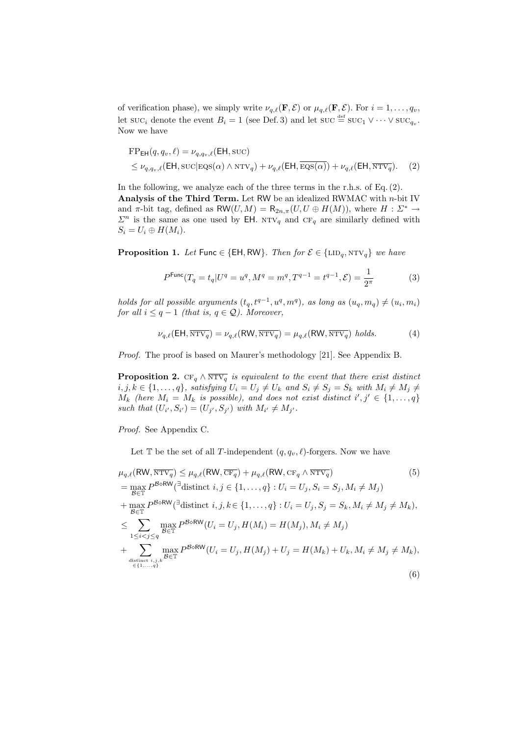of verification phase), we simply write  $\nu_{q,\ell}(\mathbf{F}, \mathcal{E})$  or  $\mu_{q,\ell}(\mathbf{F}, \mathcal{E})$ . For  $i = 1, \ldots, q_v$ , let  $\text{SUC}_i$  denote the event  $B_i = 1$  (see Def. 3) and let  $\text{SUC} \stackrel{\text{def}}{=} \text{SUC}_1 \vee \cdots \vee \text{SUC}_{q_v}$ . Now we have

$$
\begin{aligned} \text{FP}_{\mathsf{EH}}(q, q_v, \ell) &= \nu_{q, q_v, \ell}(\mathsf{EH}, \text{SUC}) \\ &\le \nu_{q, q_v, \ell}(\mathsf{EH}, \text{SUC} | \text{EQS}(\alpha) \wedge \text{NTV}_q) + \nu_{q, \ell}(\mathsf{EH}, \overline{\text{EQS}(\alpha)}) + \nu_{q, \ell}(\mathsf{EH}, \overline{\text{NTV}_q}). \end{aligned} \tag{2}
$$

In the following, we analyze each of the three terms in the r.h.s. of Eq. (2). **Analysis of the Third Term.** Let RW be an idealized RWMAC with *n*-bit IV and  $\pi$ -bit tag, defined as  $\mathsf{RW}(U, M) = \mathsf{R}_{2n,\pi}(U, U \oplus H(M))$ , where  $H : \Sigma^* \to$  $\Sigma^n$  is the same as one used by EH. NTV<sub>*q*</sub> and CF<sub>*q*</sub> are similarly defined with  $S_i = U_i \oplus H(M_i).$ 

**Proposition 1.** *Let* Func  $\in$  {EH, RW}*. Then for*  $\mathcal{E} \in \{\text{LID}_q, \text{NTV}_q\}$  *we have* 

$$
P^{\text{Func}}(T_q = t_q | U^q = u^q, M^q = m^q, T^{q-1} = t^{q-1}, \mathcal{E}) = \frac{1}{2^{\pi}} \tag{3}
$$

holds for all possible arguments  $(t_q, t^{q-1}, u^q, m^q)$ , as long as  $(u_q, m_q) \neq (u_i, m_i)$ *for all*  $i \leq q-1$  *(that is,*  $q \in \mathcal{Q}$ *). Moreover,* 

$$
\nu_{q,\ell}(\text{EH}, \overline{\text{NTV}_q}) = \nu_{q,\ell}(\text{RW}, \overline{\text{NTV}_q}) = \mu_{q,\ell}(\text{RW}, \overline{\text{NTV}_q}) \text{ holds.}
$$
 (4)

*Proof.* The proof is based on Maurer's methodology [21]. See Appendix B.

**Proposition 2.**  $CF_q \wedge \overline{NTV_q}$  *is equivalent to the event that there exist distinct*  $i, j, k \in \{1, \ldots, q\}$ , satisfying  $U_i = U_j \neq U_k$  and  $S_i \neq S_j = S_k$  with  $M_i \neq M_j \neq$ *M*<sub>k</sub> (here  $M_i = M_k$  is possible), and does not exist distinct  $i', j' \in \{1, \ldots, q\}$ *such that*  $(U_{i'}, S_{i'}) = (U_{j'}, S_{j'})$  *with*  $M_{i'} \neq M_{j'}$ .

*Proof.* See Appendix C.

Let  $\mathbb T$  be the set of all *T*-independent  $(q, q_v, \ell)$ -forgers. Now we have

$$
\mu_{q,\ell}(\text{RW}, \overline{\text{NTV}_q}) \leq \mu_{q,\ell}(\text{RW}, \overline{\text{CF}_q}) + \mu_{q,\ell}(\text{RW}, \text{CF}_q \wedge \overline{\text{NTV}_q}) \tag{5}
$$
\n
$$
= \max_{\mathcal{B} \in \mathbb{T}} P^{\mathcal{B} \circ \text{RW}} (\exists \text{distinct } i, j \in \{1, ..., q\} : U_i = U_j, S_i = S_j, M_i \neq M_j)
$$
\n
$$
+ \max_{\mathcal{B} \in \mathbb{T}} P^{\mathcal{B} \circ \text{RW}} (\exists \text{distinct } i, j, k \in \{1, ..., q\} : U_i = U_j, S_j = S_k, M_i \neq M_j \neq M_k),
$$
\n
$$
\leq \sum_{1 \leq i < j \leq q} \max_{\mathcal{B} \in \mathbb{T}} P^{\mathcal{B} \circ \text{RW}} (U_i = U_j, H(M_i) = H(M_j), M_i \neq M_j)
$$
\n
$$
+ \sum_{\text{distinct } i, j, k} \max_{\mathcal{B} \in \mathbb{T}} P^{\mathcal{B} \circ \text{RW}} (U_i = U_j, H(M_j) + U_j = H(M_k) + U_k, M_i \neq M_j \neq M_k),
$$
\n
$$
(6)
$$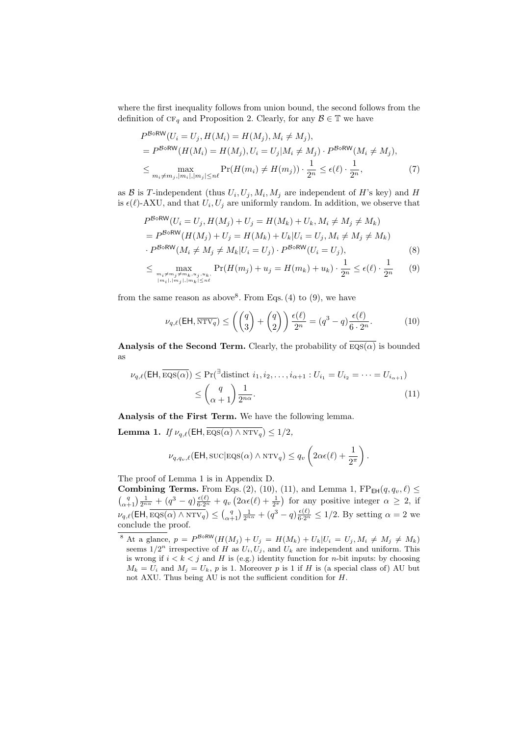where the first inequality follows from union bound, the second follows from the definition of  $CF_q$  and Proposition 2. Clearly, for any  $\mathcal{B} \in \mathbb{T}$  we have

$$
P^{\mathcal{B}\circ\mathsf{RW}}(U_i = U_j, H(M_i) = H(M_j), M_i \neq M_j),
$$
  
= 
$$
P^{\mathcal{B}\circ\mathsf{RW}}(H(M_i) = H(M_j), U_i = U_j | M_i \neq M_j) \cdot P^{\mathcal{B}\circ\mathsf{RW}}(M_i \neq M_j),
$$
  

$$
\leq \max_{m_i \neq m_j, |m_i|, |m_j| \leq n\ell} \Pr(H(m_i) \neq H(m_j)) \cdot \frac{1}{2^n} \leq \epsilon(\ell) \cdot \frac{1}{2^n},
$$
 (7)

as  $\mathcal{B}$  is *T*-independent (thus  $U_i, U_j, M_i, M_j$  are independent of *H*'s key) and *H* is  $\epsilon(\ell)$ -AXU, and that  $U_i, U_j$  are uniformly random. In addition, we observe that

$$
P^{\mathcal{B}\circ\mathsf{RW}}(U_i = U_j, H(M_j) + U_j = H(M_k) + U_k, M_i \neq M_j \neq M_k)
$$
  
= 
$$
P^{\mathcal{B}\circ\mathsf{RW}}(H(M_j) + U_j = H(M_k) + U_k | U_i = U_j, M_i \neq M_j \neq M_k)
$$
  

$$
\cdot P^{\mathcal{B}\circ\mathsf{RW}}(M_i \neq M_j \neq M_k | U_i = U_j) \cdot P^{\mathcal{B}\circ\mathsf{RW}}(U_i = U_j),
$$
 (8)

$$
\leq \max_{\substack{m_i \neq m_j \neq m_k, u_j, u_k, \\ |m_i|, |m_j|, |m_k| \leq n\ell}} \Pr(H(m_j) + u_j = H(m_k) + u_k) \cdot \frac{1}{2^n} \leq \epsilon(\ell) \cdot \frac{1}{2^n} \tag{9}
$$

from the same reason as above<sup>8</sup>. From Eqs.  $(4)$  to  $(9)$ , we have

$$
\nu_{q,\ell}(\text{EH}, \overline{\text{NTV}_q}) \le \left( \binom{q}{3} + \binom{q}{2} \right) \frac{\epsilon(\ell)}{2^n} = (q^3 - q) \frac{\epsilon(\ell)}{6 \cdot 2^n}.
$$
 (10)

**Analysis of the Second Term.** Clearly, the probability of  $\overline{EQS(\alpha)}$  is bounded as

$$
\nu_{q,\ell}(\text{EH}, \overline{\text{EQS}(\alpha)}) \le \Pr(\overline{\text{d}\text{distinct }i_1, i_2, \dots, i_{\alpha+1} : U_{i_1} = U_{i_2} = \dots = U_{i_{\alpha+1}})
$$
  

$$
\le \binom{q}{\alpha+1} \frac{1}{2^{n\alpha}}.
$$
 (11)

**Analysis of the First Term.** We have the following lemma.

**Lemma 1.** *If*  $\nu_{q,\ell}$ (EH,  $\overline{\text{EQS}(\alpha) \land \text{NTV}_q}$ )  $\leq 1/2$ ,

$$
\nu_{q,q_v,\ell}(\textsf{EH},\textsf{SUC}|\textsf{EQS}(\alpha) \wedge \textsf{NTV}_q) \leq q_v\left(2\alpha\epsilon(\ell)+\frac{1}{2^\pi}\right).
$$

The proof of Lemma 1 is in Appendix D.

**Combining Terms.** From Eqs. (2), (10), (11), and Lemma 1,  $\text{FP}_{\text{EH}}(q, q_v, \ell) \leq$  $\left(\frac{q}{\alpha+1}\right) \frac{1}{2^{n\alpha}} + \left(q^3 - q\right) \frac{\epsilon(\ell)}{6 \cdot 2^n} + q_v \left(2\alpha\epsilon(\ell) + \frac{1}{2^n}\right)$  for any positive integer  $\alpha \geq 2$ , if  $\nu_{q,\ell}(\text{EH},\overline{\text{EQS}(\alpha) \wedge \text{NTV}_q}) \leq {q \choose \alpha+1} \frac{1}{2^{n\alpha}} + (q^3-q) \frac{\epsilon(\ell)}{6\cdot 2^n} \leq 1/2.$  By setting  $\alpha = 2$  we conclude the proof.

<sup>&</sup>lt;sup>8</sup> At a glance,  $p = P^{\text{B} \circ \text{RW}}(H(M_j) + U_j = H(M_k) + U_k | U_i = U_j, M_i \neq M_j \neq M_k)$ seems  $1/2^n$  irrespective of *H* as  $U_i, U_j$ , and  $U_k$  are independent and uniform. This is wrong if  $i < k < j$  and  $H$  is (e.g.) identity function for *n*-bit inputs: by choosing  $M_k = U_i$  and  $M_j = U_k$ , *p* is 1. Moreover *p* is 1 if *H* is (a special class of) AU but not AXU. Thus being AU is not the sufficient condition for *H*.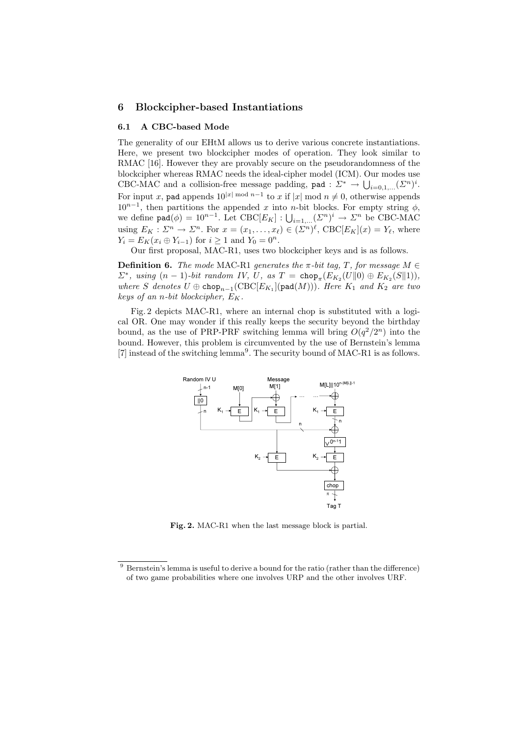### **6 Blockcipher-based Instantiations**

#### **6.1 A CBC-based Mode**

The generality of our EHtM allows us to derive various concrete instantiations. Here, we present two blockcipher modes of operation. They look similar to RMAC [16]. However they are provably secure on the pseudorandomness of the blockcipher whereas RMAC needs the ideal-cipher model (ICM). Our modes use CBC-MAC and a collision-free message padding, pad :  $\overline{\Sigma}^* \to \bigcup_{i=0,1,...} (\Sigma^n)^i$ . For input *x*, pad appends  $10^{|x| \mod n-1}$  to *x* if  $|x| \mod n \neq 0$ , otherwise appends  $10^{n-1}$ , then partitions the appended *x* into *n*-bit blocks. For empty string  $\phi$ , we define  $\text{pad}(\phi) = 10^{n-1}$ . Let  $\text{CBC}[E_K] : \bigcup_{i=1,\dots} (\Sigma^n)^i \to \Sigma^n$  be CBC-MAC using  $E_K: \Sigma^n \to \Sigma^n$ . For  $x = (x_1, \ldots, x_\ell) \in (\Sigma^n)^\ell$ , CBC $[E_K](x) = Y_\ell$ , where  $Y_i = E_K(x_i \oplus Y_{i-1})$  for  $i \ge 1$  and  $Y_0 = 0^n$ .

Our first proposal, MAC-R1, uses two blockcipher keys and is as follows.

**Definition 6.** *The mode* MAC-R1 *generates the*  $\pi$ -bit tag,  $T$ *, for message*  $M \in$ *Σ*<sup>\*</sup>, using  $(n - 1)$ *-bit random IV, U, as*  $T = \text{chop}_{\pi}(E_{K_2}(U||0) \oplus E_{K_2}(S||1)),$  $where S denote U ⊕ **chop**_{n-1}(\text{CBC}[E_{K_1}](\text{pad}(M)))$ *. Here*  $K_1$  *and*  $K_2$  *are two keys of an n-bit blockcipher,*  $E_K$ .

Fig. 2 depicts MAC-R1, where an internal chop is substituted with a logical OR. One may wonder if this really keeps the security beyond the birthday bound, as the use of PRP-PRF switching lemma will bring  $O(q^2/2^n)$  into the bound. However, this problem is circumvented by the use of Bernstein's lemma  $[7]$  instead of the switching lemma<sup>9</sup>. The security bound of MAC-R1 is as follows.



**Fig. 2.** MAC-R1 when the last message block is partial.

<sup>&</sup>lt;sup>9</sup> Bernstein's lemma is useful to derive a bound for the ratio (rather than the difference) of two game probabilities where one involves URP and the other involves URF.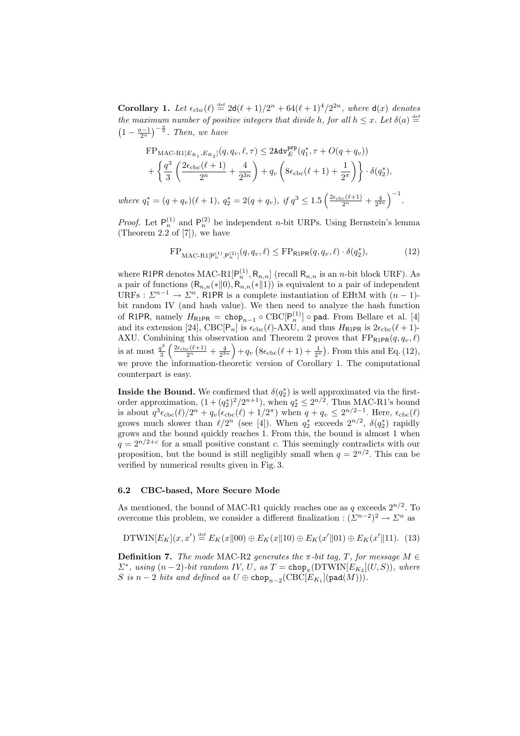**Corollary 1.** Let  $\epsilon_{\text{cbc}}(\ell) \stackrel{\text{def}}{=} 2d(\ell+1)/2^n + 64(\ell+1)^4/2^{2n}$ , where  $d(x)$  denotes *the maximum number of positive integers that divide h, for all*  $h \leq x$ *. Let*  $\delta(a) \stackrel{\text{def}}{=}$  $\left(1-\frac{a-1}{2^n}\right)^{-\frac{a}{2}}$ *. Then, we have* 

$$
\begin{aligned} \text{FP}_{\text{MAC-R1}[E_{K_1}, E_{K_2}]}(q, q_v, \ell, \tau) &\leq 2 \text{Adv}_{E}^{\text{PTP}}(q_1^*, \tau + O(q + q_v)) \\ &+ \left\{ \frac{q^3}{3} \left( \frac{2\epsilon_{\text{cbc}}(\ell+1)}{2^n} + \frac{4}{2^{3n}} \right) + q_v \left( 8\epsilon_{\text{cbc}}(\ell+1) + \frac{1}{2^{\pi}} \right) \right\} \cdot \delta(q_2^*), \end{aligned}
$$
\n
$$
\text{where } q_1^* = (q + q_v)(\ell+1), \ q_2^* = 2(q + q_v), \text{ if } q^3 \leq 1.5 \left( \frac{2\epsilon_{\text{cbc}}(\ell+1)}{2^n} + \frac{4}{2^{3n}} \right)^{-1}.
$$

*Proof.* Let  $P_n^{(1)}$  and  $P_n^{(2)}$  be independent *n*-bit URPs. Using Bernstein's lemma (Theorem 2*.*2 of [7]), we have

$$
FP_{MAC-R1[P_n^{(1)}, P_n^{(2)}]}(q, q_v, \ell) \leq FP_{R1PR}(q, q_v, \ell) \cdot \delta(q_2^*),
$$
\n(12)

where R1PR denotes MAC-R1 $[P_n^{(1)}, R_{n,n}]$  (recall  $R_{n,n}$  is an *n*-bit block URF). As a pair of functions  $(R_{n,n}(*||0), R_{n,n}(*||1))$  is equivalent to a pair of independent URFs :  $\Sigma^{n-1} \to \Sigma^n$ , R1PR is a complete instantiation of EHtM with  $(n-1)$ bit random IV (and hash value). We then need to analyze the hash function of R1PR, namely  $H_{\text{R1PR}} = \text{chop}_{n-1} \circ \text{CBC}[P_n^{(1)}] \circ \text{pad.}$  From Bellare et al. [4] and its extension [24], CBC[ $P_n$ ] is  $\epsilon_{\text{cbc}}(\ell)$ -AXU, and thus  $H_{\text{R1PR}}$  is  $2\epsilon_{\text{cbc}}(\ell+1)$ -AXU. Combining this observation and Theorem 2 proves that  $\text{FP}_{\text{R1PR}}(q, q_v, \ell)$ is at most  $\frac{q^3}{3}$ 3  $\left(\frac{2\epsilon_{\text{cbc}}(\ell+1)}{2^n} + \frac{4}{2^{3n}}\right) + q_v\left(8\epsilon_{\text{cbc}}(\ell+1) + \frac{1}{2^n}\right)$ . From this and Eq. (12), we prove the information-theoretic version of Corollary 1. The computational counterpart is easy.

**Inside the Bound.** We confirmed that  $\delta(q_2^*)$  is well approximated via the firstorder approximation,  $(1 + (q_2^*)^2/2^{n+1})$ , when  $q_2^* \leq 2^{n/2}$ . Thus MAC-R1's bound is about  $q^3 \epsilon_{\text{cbc}}(\ell)/2^n + q_v(\epsilon_{\text{cbc}}(\ell) + 1/2^{\pi})$  when  $q + q_v \leq 2^{n/2-1}$ . Here,  $\epsilon_{\text{cbc}}(\ell)$ grows much slower than  $\ell/2^n$  (see [4]). When  $q_2^*$  exceeds  $2^{n/2}$ ,  $\delta(q_2^*)$  rapidly grows and the bound quickly reaches 1. From this, the bound is almost 1 when  $q = 2^{n/2+c}$  for a small positive constant *c*. This seemingly contradicts with our proposition, but the bound is still negligibly small when  $q = 2^{n/2}$ . This can be verified by numerical results given in Fig. 3.

#### **6.2 CBC-based, More Secure Mode**

As mentioned, the bound of MAC-R1 quickly reaches one as  $q$  exceeds  $2^{n/2}$ . To overcome this problem, we consider a different finalization :  $(\Sigma^{n-2})^2 \to \Sigma^n$  as

DTWIN
$$
[E_K](x, x') \stackrel{\text{def}}{=} E_K(x||00) \oplus E_K(x||10) \oplus E_K(x'||01) \oplus E_K(x'||11).
$$
 (13)

**Definition 7.** *The mode* MAC-R2 *generates the*  $\pi$ -bit tag,  $T$ *, for message*  $M \in$  $\Sigma^*$ *, using*  $(n-2)$ *-bit random IV, U, as*  $T = \text{chop}_{\pi}(\text{DTWIN}[E_{K_2}](U, S))$ *, where*  $S$  *is*  $n-2$  *bits and defined as*  $U \oplus \text{chop}_{n-2}(\text{CBC}[E_{K_1}](\text{pad}(M))).$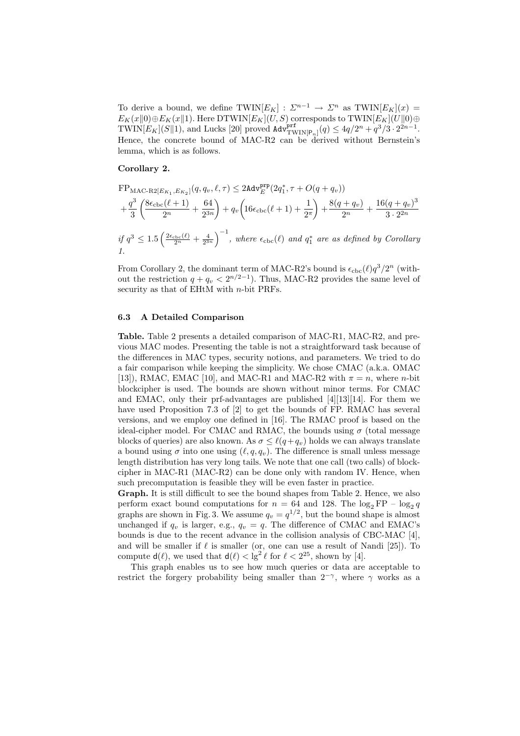To derive a bound, we define  $\text{TWIN}[E_K] : \Sigma^{n-1} \to \Sigma^n$  as  $\text{TWIN}[E_K](x) =$  $E_K(x|0) ⊕ E_K(x|1)$ . Here DTWIN $[E_K](U, S)$  corresponds to TWIN $[E_K](U|0) ⊕$  $\text{TWIN}[E_K](S||1)$ , and Lucks [20] proved  $\text{Adv}_{\text{TWIN}[P_n]}^{\text{prf}}(q) \leq 4q/2^n + q^3/3 \cdot 2^{2n-1}$ . Hence, the concrete bound of MAC-R2 can be derived without Bernstein's lemma, which is as follows.

#### **Corollary 2.**

$$
\mathrm{FP}_{\mathrm{MAC}\text{-}\mathrm{R2}[E_{K_1}, E_{K_2}]}(q, q_v, \ell, \tau) \le 2\mathrm{Adv}_{E}^{\mathrm{prp}}(2q_1^*, \tau + O(q + q_v)) + \frac{q^3}{3} \left( \frac{8\epsilon_{\mathrm{cbc}}(\ell+1)}{2^n} + \frac{64}{2^{3n}} \right) + q_v \left( 16\epsilon_{\mathrm{cbc}}(\ell+1) + \frac{1}{2^{\pi}} \right) + \frac{8(q + q_v)}{2^n} + \frac{16(q + q_v)^3}{3 \cdot 2^{2n}}
$$

 $if q^3 \leq 1.5 \left( \frac{2\epsilon_{\text{cbc}}(\ell)}{2^n} + \frac{4}{2^{3n}} \right)^{-1}$ , where  $\epsilon_{\text{cbc}}(\ell)$  and  $q_1^*$  are as defined by Corollary *1.*

From Corollary 2, the dominant term of MAC-R2's bound is  $\epsilon_{\text{cbc}}(\ell)q^3/2^n$  (without the restriction  $q + q_v < 2^{n/2-1}$ ). Thus, MAC-R2 provides the same level of security as that of EHtM with *n*-bit PRFs.

#### **6.3 A Detailed Comparison**

**Table.** Table 2 presents a detailed comparison of MAC-R1, MAC-R2, and previous MAC modes. Presenting the table is not a straightforward task because of the differences in MAC types, security notions, and parameters. We tried to do a fair comparison while keeping the simplicity. We chose CMAC (a.k.a. OMAC [13]), RMAC, EMAC [10], and MAC-R1 and MAC-R2 with  $\pi = n$ , where *n*-bit blockcipher is used. The bounds are shown without minor terms. For CMAC and EMAC, only their prf-advantages are published  $[4][13][14]$ . For them we have used Proposition 7*.*3 of [2] to get the bounds of FP. RMAC has several versions, and we employ one defined in [16]. The RMAC proof is based on the ideal-cipher model. For CMAC and RMAC, the bounds using  $\sigma$  (total message blocks of queries) are also known. As  $\sigma \leq \ell(q+q_v)$  holds we can always translate a bound using  $\sigma$  into one using  $(\ell, q, q_v)$ . The difference is small unless message length distribution has very long tails. We note that one call (two calls) of blockcipher in MAC-R1 (MAC-R2) can be done only with random IV. Hence, when such precomputation is feasible they will be even faster in practice.

**Graph.** It is still difficult to see the bound shapes from Table 2. Hence, we also perform exact bound computations for  $n = 64$  and 128. The  $\log_2 FP - \log_2 q$ graphs are shown in Fig. 3. We assume  $q_v = q^{1/2}$ , but the bound shape is almost unchanged if  $q_v$  is larger, e.g.,  $q_v = q$ . The difference of CMAC and EMAC's bounds is due to the recent advance in the collision analysis of CBC-MAC [4], and will be smaller if *ℓ* is smaller (or, one can use a result of Nandi [25]). To compute  $d(\ell)$ , we used that  $d(\ell) < \lg^2 \ell$  for  $\ell < 2^{25}$ , shown by [4].

This graph enables us to see how much queries or data are acceptable to restrict the forgery probability being smaller than  $2^{-\gamma}$ , where  $\gamma$  works as a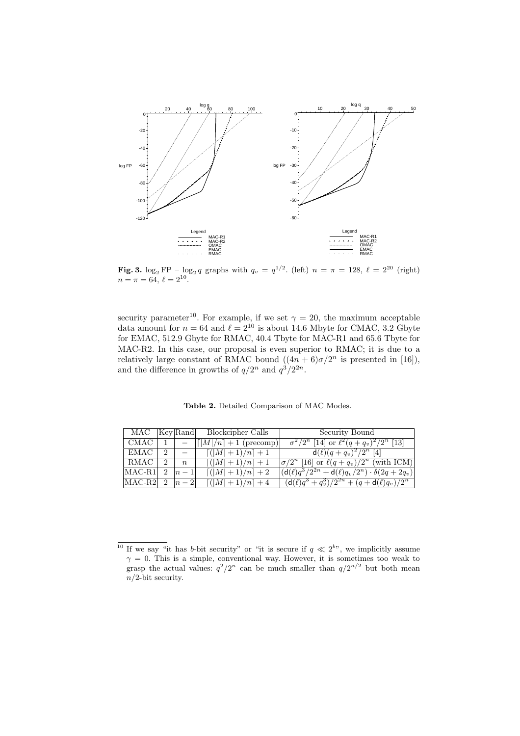

**Fig. 3.**  $\log_2 FP - \log_2 q$  graphs with  $q_v = q^{1/2}$ . (left)  $n = \pi = 128$ ,  $\ell = 2^{20}$  (right)  $n = \pi = 64, \, \ell = 2^{10}.$ 

security parameter<sup>10</sup>. For example, if we set  $\gamma = 20$ , the maximum acceptable data amount for  $n = 64$  and  $\ell = 2^{10}$  is about 14.6 Mbyte for CMAC, 3.2 Gbyte for EMAC, 512*.*9 Gbyte for RMAC, 40*.*4 Tbyte for MAC-R1 and 65*.*6 Tbyte for MAC-R2. In this case, our proposal is even superior to RMAC; it is due to a relatively large constant of RMAC bound  $((4n + 6)\sigma/2^n)$  is presented in [16]), and the difference in growths of  $q/2^n$  and  $q^3/2^{2n}$ .

**Table 2.** Detailed Comparison of MAC Modes.

|                        |             |                  | MAC   Key Rand   Blockcipher Calls            | Security Bound                                                                                  |
|------------------------|-------------|------------------|-----------------------------------------------|-------------------------------------------------------------------------------------------------|
| CMAC                   |             |                  | $ \left  \frac{ M }{n} \right  + 1$ (precomp) | $\sigma^2/2^n$ [14] or $\ell^2(q+q_v)^2/2^n$ [13]                                               |
| EMAC                   | 2 l         |                  | $\lceil ( M +1)/n \rceil + 1$                 | $d(\ell)(q+q_v)^2/2^n$ [4]                                                                      |
| RMAC                   | $2^{\circ}$ | $\boldsymbol{n}$ | $\lceil ( M +1)/n \rceil + 1$                 | $ \sigma/2^n 16 $ or $\ell(q+q_v)/2^n$ (with ICM)                                               |
| $ MAC-R1 $             |             | $2  n-1 $        | $\lceil ( M +1)/n \rceil + 2$                 | $\sqrt{\left(\mathsf{d}(\ell)q^3/2^{2n} + \mathsf{d}(\ell)q_v/2^n\right)\cdot \delta(2q+2q_v)}$ |
| $ MAC-R2  \ 2 \  n-2 $ |             |                  | $\lceil ( M +1)/n \rceil + 4$                 | $\left( \frac{d(\ell)q^3 + q_v^3}{2^n} + \frac{q}{q} + \frac{d(\ell)q_v}{2^n} \right)$          |

<sup>&</sup>lt;sup>10</sup> If we say "it has *b*-bit security" or "it is secure if  $q \ll 2^{b}$ ", we implicitly assume  $\gamma = 0$ . This is a simple, conventional way. However, it is sometimes too weak to grasp the actual values:  $q^2/2^n$  can be much smaller than  $q/2^{n/2}$  but both mean *n/*2-bit security.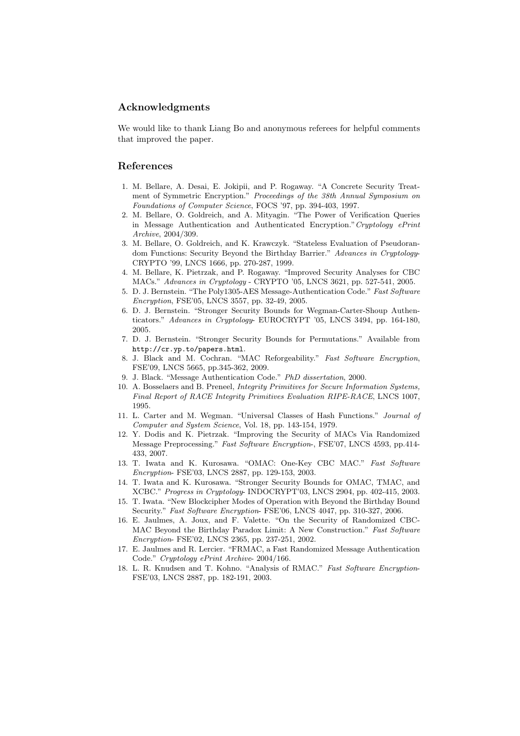### **Acknowledgments**

We would like to thank Liang Bo and anonymous referees for helpful comments that improved the paper.

## **References**

- 1. M. Bellare, A. Desai, E. Jokipii, and P. Rogaway. "A Concrete Security Treatment of Symmetric Encryption." *Proceedings of the 38th Annual Symposium on Foundations of Computer Science*, FOCS '97, pp. 394-403, 1997.
- 2. M. Bellare, O. Goldreich, and A. Mityagin. "The Power of Verification Queries in Message Authentication and Authenticated Encryption."*Cryptology ePrint Archive*, 2004/309.
- 3. M. Bellare, O. Goldreich, and K. Krawczyk. "Stateless Evaluation of Pseudorandom Functions: Security Beyond the Birthday Barrier." *Advances in Cryptology*-CRYPTO '99, LNCS 1666, pp. 270-287, 1999.
- 4. M. Bellare, K. Pietrzak, and P. Rogaway. "Improved Security Analyses for CBC MACs." *Advances in Cryptology* - CRYPTO '05, LNCS 3621, pp. 527-541, 2005.
- 5. D. J. Bernstein. "The Poly1305-AES Message-Authentication Code." *Fast Software Encryption*, FSE'05, LNCS 3557, pp. 32-49, 2005.
- 6. D. J. Bernstein. "Stronger Security Bounds for Wegman-Carter-Shoup Authenticators." *Advances in Cryptology*- EUROCRYPT '05, LNCS 3494, pp. 164-180, 2005.
- 7. D. J. Bernstein. "Stronger Security Bounds for Permutations." Available from http://cr.yp.to/papers.html.
- 8. J. Black and M. Cochran. "MAC Reforgeability." *Fast Software Encryption*, FSE'09, LNCS 5665, pp.345-362, 2009.
- 9. J. Black. "Message Authentication Code." *PhD dissertation*, 2000.
- 10. A. Bosselaers and B. Preneel, *Integrity Primitives for Secure Information Systems, Final Report of RACE Integrity Primitives Evaluation RIPE-RACE*, LNCS 1007, 1995.
- 11. L. Carter and M. Wegman. "Universal Classes of Hash Functions." *Journal of Computer and System Science*, Vol. 18, pp. 143-154, 1979.
- 12. Y. Dodis and K. Pietrzak. "Improving the Security of MACs Via Randomized Message Preprocessing." *Fast Software Encryption*-, FSE'07, LNCS 4593, pp.414- 433, 2007.
- 13. T. Iwata and K. Kurosawa. "OMAC: One-Key CBC MAC." *Fast Software Encryption*- FSE'03, LNCS 2887, pp. 129-153, 2003.
- 14. T. Iwata and K. Kurosawa. "Stronger Security Bounds for OMAC, TMAC, and XCBC." *Progress in Cryptology*- INDOCRYPT'03, LNCS 2904, pp. 402-415, 2003.
- 15. T. Iwata. "New Blockcipher Modes of Operation with Beyond the Birthday Bound Security." *Fast Software Encryption*- FSE'06, LNCS 4047, pp. 310-327, 2006.
- 16. E. Jaulmes, A. Joux, and F. Valette. "On the Security of Randomized CBC-MAC Beyond the Birthday Paradox Limit: A New Construction." *Fast Software Encryption*- FSE'02, LNCS 2365, pp. 237-251, 2002.
- 17. E. Jaulmes and R. Lercier. "FRMAC, a Fast Randomized Message Authentication Code." *Cryptology ePrint Archive*- 2004/166.
- 18. L. R. Knudsen and T. Kohno. "Analysis of RMAC." *Fast Software Encryption*-FSE'03, LNCS 2887, pp. 182-191, 2003.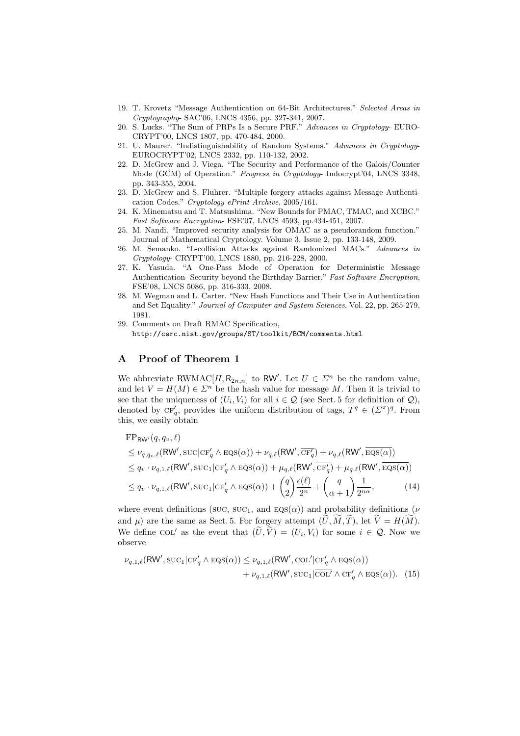- 19. T. Krovetz "Message Authentication on 64-Bit Architectures." *Selected Areas in Cryptography*- SAC'06, LNCS 4356, pp. 327-341, 2007.
- 20. S. Lucks. "The Sum of PRPs Is a Secure PRF." *Advances in Cryptology* EURO-CRYPT'00, LNCS 1807, pp. 470-484, 2000.
- 21. U. Maurer. "Indistinguishability of Random Systems." *Advances in Cryptology*-EUROCRYPT'02, LNCS 2332, pp. 110-132, 2002.
- 22. D. McGrew and J. Viega. "The Security and Performance of the Galois/Counter Mode (GCM) of Operation." *Progress in Cryptology*- Indocrypt'04, LNCS 3348, pp. 343-355, 2004.
- 23. D. McGrew and S. Fluhrer. "Multiple forgery attacks against Message Authentication Codes." *Cryptology ePrint Archive*, 2005/161.
- 24. K. Minematsu and T. Matsushima. "New Bounds for PMAC, TMAC, and XCBC." *Fast Software Encryption*- FSE'07, LNCS 4593, pp.434-451, 2007.
- 25. M. Nandi. "Improved security analysis for OMAC as a pseudorandom function." Journal of Mathematical Cryptology. Volume 3, Issue 2, pp. 133-148, 2009.
- 26. M. Semanko. "L-collision Attacks against Randomized MACs." *Advances in Cryptology*- CRYPT'00, LNCS 1880, pp. 216-228, 2000.
- 27. K. Yasuda. "A One-Pass Mode of Operation for Deterministic Message Authentication- Security beyond the Birthday Barrier." *Fast Software Encryption*, FSE'08, LNCS 5086, pp. 316-333, 2008.
- 28. M. Wegman and L. Carter. "New Hash Functions and Their Use in Authentication and Set Equality." *Journal of Computer and System Sciences*, Vol. 22, pp. 265-279, 1981.
- 29. Comments on Draft RMAC Specification, http://csrc.nist.gov/groups/ST/toolkit/BCM/comments.html

## **A Proof of Theorem 1**

We abbreviate RWMAC[ $H, R_{2n,n}$ ] to RW'. Let  $U \in \mathbb{Z}^n$  be the random value, and let  $V = H(M) \in \mathbb{Z}^n$  be the hash value for message M. Then it is trivial to see that the uniqueness of  $(U_i, V_i)$  for all  $i \in \mathcal{Q}$  (see Sect. 5 for definition of  $\mathcal{Q}$ ), denoted by  $CF'_{q}$ , provides the uniform distribution of tags,  $T^{q} \in (\Sigma^{\pi})^{q}$ . From this, we easily obtain

$$
\begin{split} &\text{FP}_{\mathsf{RW}'}(q, q_v, \ell) \\ &\leq \nu_{q, q_v, \ell}(\mathsf{RW}', \text{succ}|\text{CF}_q' \wedge \text{EQs}(\alpha)) + \nu_{q, \ell}(\mathsf{RW}', \overline{\text{CF}_q'}) + \nu_{q, \ell}(\mathsf{RW}', \overline{\text{EQs}(\alpha)}) \\ &\leq q_v \cdot \nu_{q, 1, \ell}(\mathsf{RW}', \text{SUC}_1|\text{CF}_q' \wedge \text{EQs}(\alpha)) + \mu_{q, \ell}(\mathsf{RW}', \overline{\text{CF}_q'}) + \mu_{q, \ell}(\mathsf{RW}', \overline{\text{EQs}(\alpha)}) \\ &\leq q_v \cdot \nu_{q, 1, \ell}(\mathsf{RW}', \text{SUC}_1|\text{CF}_q' \wedge \text{EQs}(\alpha)) + \binom{q}{2} \frac{\epsilon(\ell)}{2^n} + \binom{q}{\alpha + 1} \frac{1}{2^{n\alpha}}, \end{split} \tag{14}
$$

where event definitions (suc, suc<sub>1</sub>, and  $EQS(\alpha)$ ) and probability definitions ( $\nu$ and  $\mu$ ) are the same as Sect. 5. For forgery attempt  $(\widetilde{U}, \widetilde{M}, \widetilde{T})$ , let  $\widetilde{V} = H(\widetilde{M})$ . We define COL<sup>'</sup> as the event that  $(\widetilde{U}, \widetilde{V}) = (U_i, V_i)$  for some  $i \in \mathcal{Q}$ . Now we observe

$$
\nu_{q,1,\ell}(\text{RW}', \text{SUC}_1 | \text{CF}_q' \wedge \text{EQS}(\alpha)) \leq \nu_{q,1,\ell}(\text{RW}', \text{COL}' | \text{CF}_q' \wedge \text{EQS}(\alpha)) + \nu_{q,1,\ell}(\text{RW}', \text{SUC}_1 | \overline{\text{COL}'} \wedge \text{CF}_q' \wedge \text{EQS}(\alpha)). \tag{15}
$$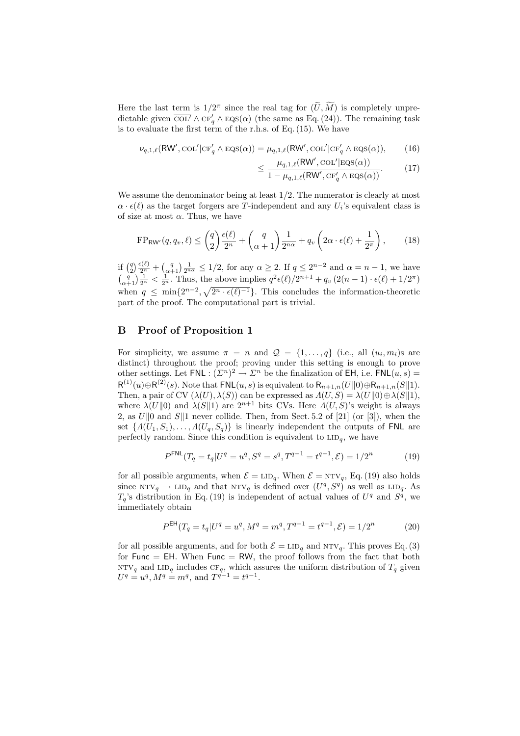Here the last term is  $1/2^{\pi}$  since the real tag for  $(\tilde{U}, \tilde{M})$  is completely unpredictable given  $\overline{\text{COL'}} \wedge \text{CF}'_q \wedge \text{EQS}(\alpha)$  (the same as Eq. (24)). The remaining task is to evaluate the first term of the r.h.s. of Eq. (15). We have

$$
\nu_{q,1,\ell}(\text{RW}', \text{COL}' | \text{CF}'_q \wedge \text{EQS}(\alpha)) = \mu_{q,1,\ell}(\text{RW}', \text{COL}' | \text{CF}'_q \wedge \text{EQS}(\alpha)),\tag{16}
$$

$$
\leq \frac{\mu_{q,1,\ell}(\text{RW}', \text{col}' | \text{EQS}(\alpha))}{1 - \mu_{q,1,\ell}(\text{RW}', \overline{\text{CF}'_q \wedge \text{EQS}(\alpha)})}.
$$
(17)

We assume the denominator being at least 1*/*2. The numerator is clearly at most  $\alpha \cdot \epsilon(\ell)$  as the target forgers are *T*-independent and any  $U_i$ 's equivalent class is of size at most  $\alpha$ . Thus, we have

$$
\text{FP}_{\text{RW}'}(q, q_v, \ell) \le \binom{q}{2} \frac{\epsilon(\ell)}{2^n} + \binom{q}{\alpha + 1} \frac{1}{2^{n\alpha}} + q_v \left(2\alpha \cdot \epsilon(\ell) + \frac{1}{2^{\pi}}\right),\tag{18}
$$

if  $\left(\frac{q}{2}\right) \frac{\epsilon(\ell)}{2^n} + \left(\frac{q}{\alpha+1}\right) \frac{1}{2^{n\alpha}} \leq 1/2$ , for any  $\alpha \geq 2$ . If  $q \leq 2^{n-2}$  and  $\alpha = n-1$ , we have  $\binom{q}{\alpha+1}\frac{1}{2^{\alpha}} < \frac{1}{2^n}$ . Thus, the above implies  $q^2\epsilon(\ell)/2^{n+1} + q_v(2(n-1)\cdot\epsilon(\ell) + 1/2^{\pi})$ when  $q \leq \min\{2^{n-2}, \sqrt{2^n \cdot \epsilon(\ell)^{-1}}\}$ . This concludes the information-theoretic part of the proof. The computational part is trivial.

#### **B Proof of Proposition 1**

For simplicity, we assume  $\pi = n$  and  $\mathcal{Q} = \{1, \ldots, q\}$  (i.e., all  $(u_i, m_i)$ s are distinct) throughout the proof; proving under this setting is enough to prove other settings. Let  $\textsf{FNL} : (\Sigma^n)^2 \to \Sigma^n$  be the finalization of  $\textsf{EH}$ , i.e.  $\textsf{FNL}(u, s) =$  $\mathsf{R}^{(1)}(u) \oplus \mathsf{R}^{(2)}(s)$ . Note that  $\mathsf{FNL}(u, s)$  is equivalent to  $\mathsf{R}_{n+1,n}(U \| 0) \oplus \mathsf{R}_{n+1,n}(S \| 1)$ . Then, a pair of CV  $(\lambda(U), \lambda(S))$  can be expressed as  $\Lambda(U, S) = \lambda(U||0) \oplus \lambda(S||1)$ , where  $\lambda(U||0)$  and  $\lambda(S||1)$  are  $2^{n+1}$  bits CVs. Here  $\Lambda(U, S)$ 's weight is always 2, as *U∥*0 and *S∥*1 never collide. Then, from Sect. 5.2 of [21] (or [3]), when the set  $\{A(U_1, S_1), \ldots, A(U_q, S_q)\}\$ is linearly independent the outputs of FNL are perfectly random. Since this condition is equivalent to  $LID_q$ , we have

$$
P^{\text{FNL}}(T_q = t_q | U^q = u^q, S^q = s^q, T^{q-1} = t^{q-1}, \mathcal{E}) = 1/2^n
$$
 (19)

for all possible arguments, when  $\mathcal{E} = LID_q$ . When  $\mathcal{E} = NTV_q$ , Eq. (19) also holds since  $NTV_q \rightarrow LID_q$  and that  $NTV_q$  is defined over  $(U^q, S^q)$  as well as  $LID_q$ . As  $T_q$ 's distribution in Eq. (19) is independent of actual values of  $U^q$  and  $S^q$ , we immediately obtain

$$
P^{\text{EH}}(T_q = t_q | U^q = u^q, M^q = m^q, T^{q-1} = t^{q-1}, \mathcal{E}) = 1/2^n
$$
 (20)

for all possible arguments, and for both  $\mathcal{E} = LID_q$  and  $NTV_q$ . This proves Eq. (3) for Func  $=$  EH. When Func  $=$  RW, the proof follows from the fact that both NTV<sub>q</sub> and LID<sub>q</sub> includes CF<sub>q</sub>, which assures the uniform distribution of  $T_q$  given  $U^q = u^q, M^q = m^q, \text{ and } T^{q-1} = t^{q-1}.$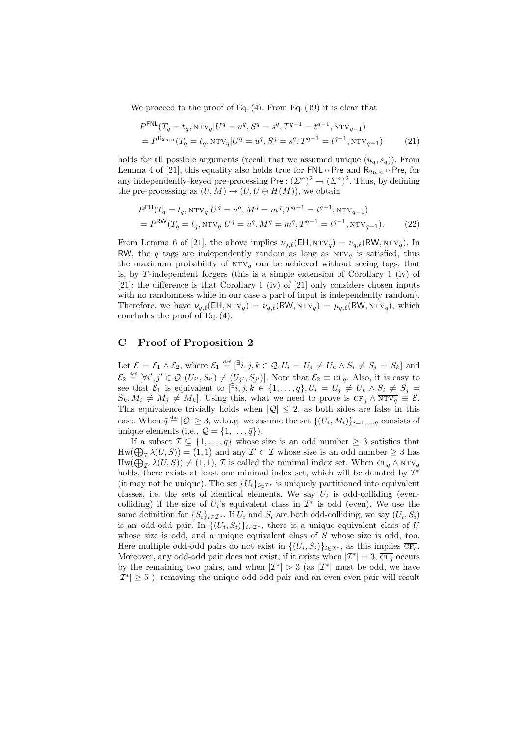We proceed to the proof of Eq.  $(4)$ . From Eq.  $(19)$  it is clear that

$$
P^{\text{FNL}}(T_q = t_q, \text{NTV}_q | U^q = u^q, S^q = s^q, T^{q-1} = t^{q-1}, \text{NTV}_{q-1})
$$
  
= 
$$
P^{\text{R}_{2n,n}}(T_q = t_q, \text{NTV}_q | U^q = u^q, S^q = s^q, T^{q-1} = t^{q-1}, \text{NTV}_{q-1})
$$
 (21)

holds for all possible arguments (recall that we assumed unique  $(u_q, s_q)$ ). From Lemma 4 of [21], this equality also holds true for FNL  $\circ$  Pre and R<sub>2n,n</sub>  $\circ$  Pre, for any independently-keyed pre-processing  $\mathsf{Pre} : (\Sigma^n)^2 \to (\Sigma^n)^2$ . Thus, by defining the pre-processing as  $(U, M) \to (U, U \oplus H(M))$ , we obtain

$$
P^{\text{EH}}(T_q = t_q, \text{NTV}_q | U^q = u^q, M^q = m^q, T^{q-1} = t^{q-1}, \text{NTV}_{q-1})
$$
  
= 
$$
P^{\text{RW}}(T_q = t_q, \text{NTV}_q | U^q = u^q, M^q = m^q, T^{q-1} = t^{q-1}, \text{NTV}_{q-1}).
$$
 (22)

From Lemma 6 of [21], the above implies  $\nu_{q,\ell}(\text{EH},\overline{\text{NTV}_q}) = \nu_{q,\ell}(\text{RW},\overline{\text{NTV}_q})$ . In RW, the *q* tags are independently random as long as  $NTV_q$  is satisfied, thus the maximum probability of  $\overline{NTV_q}$  can be achieved without seeing tags, that is, by *T*-independent forgers (this is a simple extension of Corollary 1 (iv) of [21]: the difference is that Corollary 1 (iv) of [21] only considers chosen inputs with no randomness while in our case a part of input is independently random). Therefore, we have  $\nu_{q,\ell}(\text{EH},\overline{\text{NTV}_q}) = \nu_{q,\ell}(\text{RW},\overline{\text{NTV}_q}) = \mu_{q,\ell}(\text{RW},\overline{\text{NTV}_q})$ , which concludes the proof of Eq. (4).

## **C Proof of Proposition 2**

Let  $\mathcal{E} = \mathcal{E}_1 \wedge \mathcal{E}_2$ , where  $\mathcal{E}_1 \stackrel{\text{def}}{=} [\exists i, j, k \in \mathcal{Q}, U_i = U_j \neq U_k \wedge S_i \neq S_j = S_k]$  and  $\mathcal{E}_2 \stackrel{\text{def}}{=} [\forall i', j' \in \mathcal{Q}, (U_{i'}, S_{i'}) \neq (U_{j'}, S_{j'})]$ . Note that  $\mathcal{E}_2 \equiv cF_q$ . Also, it is easy to see that  $\mathcal{E}_1$  is equivalent to  $[^{\exists}$ *i*, *j*,  $k \in \{1, ..., q\}$ ,  $U_i = U_j \neq U_k \wedge S_i \neq S_j$  $S_k, M_i \neq M_j \neq M_k$ . Using this, what we need to prove is  $CF_q \wedge \overline{NTV_q} \equiv \mathcal{E}$ . This equivalence trivially holds when  $|Q| \leq 2$ , as both sides are false in this case. When  $\bar{q} \stackrel{\text{def}}{=} |Q| \geq 3$ , w.l.o.g. we assume the set  $\{(U_i, M_i)\}_{i=1,\dots,\bar{q}}$  consists of unique elements (i.e.,  $\mathcal{Q} = \{1, \ldots, \bar{q}\}.$ 

If a subset  $\mathcal{I} \subseteq \{1, \ldots, \bar{q}\}$  whose size is an odd number  $\geq 3$  satisfies that  $\text{Hw}(\bigoplus_{\mathcal{I}} \lambda(U, S)) = (1, 1)$  and any  $\mathcal{I}' \subset \mathcal{I}$  whose size is an odd number  $\geq 3$  has  $\lim_{T \to \infty} (\bigoplus_{\mathcal{I}'}^T \lambda(U, S)) \neq (1, 1), \mathcal{I}$  is called the minimal index set. When  $CF_q \wedge \overline{NTV_q}$ holds, there exists at least one minimal index set, which will be denoted by *I ∗* (it may not be unique). The set  ${U_i}_{i \in \mathcal{I}^*}$  is uniquely partitioned into equivalent classes, i.e. the sets of identical elements. We say  $U_i$  is odd-colliding (evencolliding) if the size of  $U_i$ 's equivalent class in  $\mathcal{I}^*$  is odd (even). We use the same definition for  $\{S_i\}_{i \in \mathcal{I}^*}$ . If  $U_i$  and  $S_i$  are both odd-colliding, we say  $(U_i, S_i)$ is an odd-odd pair. In  $\{(U_i, S_i)\}_{i \in \mathcal{I}^*}$ , there is a unique equivalent class of *U* whose size is odd, and a unique equivalent class of *S* whose size is odd, too. Here multiple odd-odd pairs do not exist in  $\{(U_i, S_i)\}_{i \in \mathcal{I}^*}$ , as this implies  $\overline{\text{CF}_q}$ . Moreover, any odd-odd pair does not exist; if it exists when  $|{\mathcal{I}}^*| = 3$ ,  $\overline{CF_q}$  occurs by the remaining two pairs, and when  $|{\mathcal{I}}^*| > 3$  (as  $|{\mathcal{I}}^*|$  must be odd, we have *|I<sup>∗</sup> | ≥* 5 ), removing the unique odd-odd pair and an even-even pair will result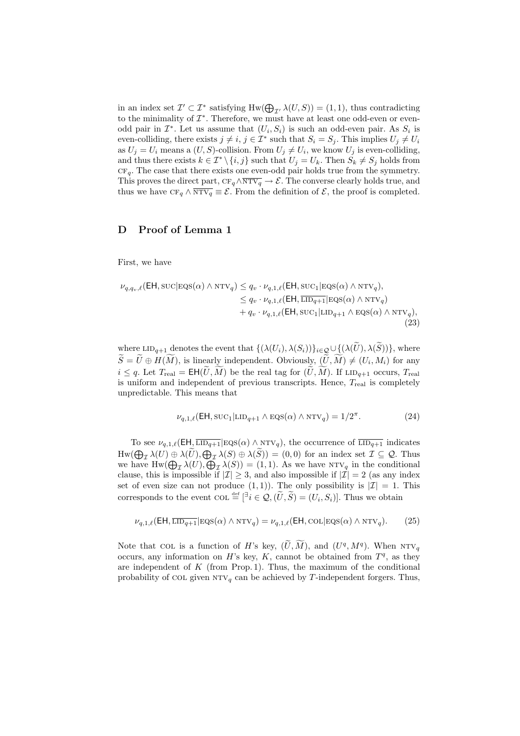in an index set  $\mathcal{I}' \subset \mathcal{I}^*$  satisfying  $\text{Hw}(\bigoplus_{\mathcal{I}'} \lambda(U, S)) = (1, 1)$ , thus contradicting to the minimality of *I ∗* . Therefore, we must have at least one odd-even or evenodd pair in  $\mathcal{I}^*$ . Let us assume that  $(U_i, S_i)$  is such an odd-even pair. As  $S_i$  is even-colliding, there exists  $j \neq i$ ,  $j \in \mathcal{I}^*$  such that  $S_i = S_j$ . This implies  $U_j \neq U_i$ as  $U_j = U_i$  means a  $(U, S)$ -collision. From  $U_j \neq U_i$ , we know  $U_j$  is even-colliding, and thus there exists  $k \in \mathcal{I}^* \setminus \{i, j\}$  such that  $U_j = U_k$ . Then  $\check{S}_k \neq S_j$  holds from  $CF_q$ . The case that there exists one even-odd pair holds true from the symmetry. This proves the direct part,  $CF_q \wedge \overline{NTV_q} \to \mathcal{E}$ . The converse clearly holds true, and thus we have  $CF_q \wedge \overline{NTV_q} \equiv \mathcal{E}$ . From the definition of  $\mathcal{E}$ , the proof is completed.

## **D Proof of Lemma 1**

First, we have

$$
\nu_{q,q_v,\ell}(\text{EH}, \text{suc}|\text{EQS}(\alpha) \land \text{NTV}_q) \leq q_v \cdot \nu_{q,1,\ell}(\text{EH}, \text{suc}_1|\text{EQS}(\alpha) \land \text{NTV}_q),
$$
  
\n
$$
\leq q_v \cdot \nu_{q,1,\ell}(\text{EH}, \overline{\text{LID}_{q+1}}|\text{EQS}(\alpha) \land \text{NTV}_q) + q_v \cdot \nu_{q,1,\ell}(\text{EH}, \text{suc}_1|\text{LID}_{q+1} \land \text{EQS}(\alpha) \land \text{NTV}_q),
$$
\n(23)

where  $\text{LID}_{q+1}$  denotes the event that  $\{(\lambda(U_i), \lambda(S_i))\}_{i \in \mathcal{Q}} \cup \{(\lambda(\widetilde{U}), \lambda(\widetilde{S}))\},\$  where  $S = U \oplus H(M)$ , is linearly independent. Obviously,  $(U, M) \neq (U_i, M_i)$  for any  $i \leq q$ . Let  $T_{\text{real}} = \text{EH}(\widetilde{U}, \widetilde{M})$  be the real tag for  $(\widetilde{U}, \widetilde{M})$ . If  $\text{LID}_{q+1}$  occurs,  $T_{\text{real}}$ is uniform and independent of previous transcripts. Hence,  $T_{\text{real}}$  is completely unpredictable. This means that

$$
\nu_{q,1,\ell}(\text{EH}, \text{SUC}_1 | \text{LID}_{q+1} \wedge \text{EQS}(\alpha) \wedge \text{NTV}_q) = 1/2^{\pi}.
$$
 (24)

To see  $\nu_{q,1,\ell}(\text{EH},\overline{\text{LID}_{q+1}}|\text{EQS}(\alpha) \wedge \text{NTV}_q)$ , the occurrence of  $\overline{\text{LID}_{q+1}}$  indicates  $\text{Hw}(\bigoplus_{\mathcal{I}} \lambda(U) \oplus \lambda(\widetilde{U}), \bigoplus_{\mathcal{I}} \lambda(S) \oplus \lambda(\widetilde{S}) = (0,0) \text{ for an index set } \mathcal{I} \subseteq \mathcal{Q}.$  Thus we have  $\text{Hw}(\bigoplus_{\mathcal{I}} \lambda(U), \bigoplus_{\mathcal{I}} \lambda(S)) = (1, 1)$ . As we have  $\text{NTV}_q$  in the conditional clause, this is impossible if  $|\mathcal{I}| \geq 3$ , and also impossible if  $|\mathcal{I}| = 2$  (as any index set of even size can not produce  $(1, 1)$ ). The only possibility is  $|\mathcal{I}| = 1$ . This corresponds to the event  $\text{col} \equiv [\exists i \in \mathcal{Q}, (\tilde{U}, \tilde{S}) = (U_i, S_i)]$ . Thus we obtain

$$
\nu_{q,1,\ell}(\text{EH}, \overline{\text{LID}_{q+1}} | \text{EQS}(\alpha) \wedge \text{NTV}_q) = \nu_{q,1,\ell}(\text{EH}, \text{COL} | \text{EQS}(\alpha) \wedge \text{NTV}_q). \tag{25}
$$

Note that COL is a function of *H*'s key,  $(\widetilde{U}, \widetilde{M})$ , and  $(U^q, M^q)$ . When  $NTV_q$ occurs, any information on  $H$ 's key,  $K$ , cannot be obtained from  $T<sup>q</sup>$ , as they are independent of *K* (from Prop. 1). Thus, the maximum of the conditional probability of COL given  $NTV_q$  can be achieved by *T*-independent forgers. Thus,